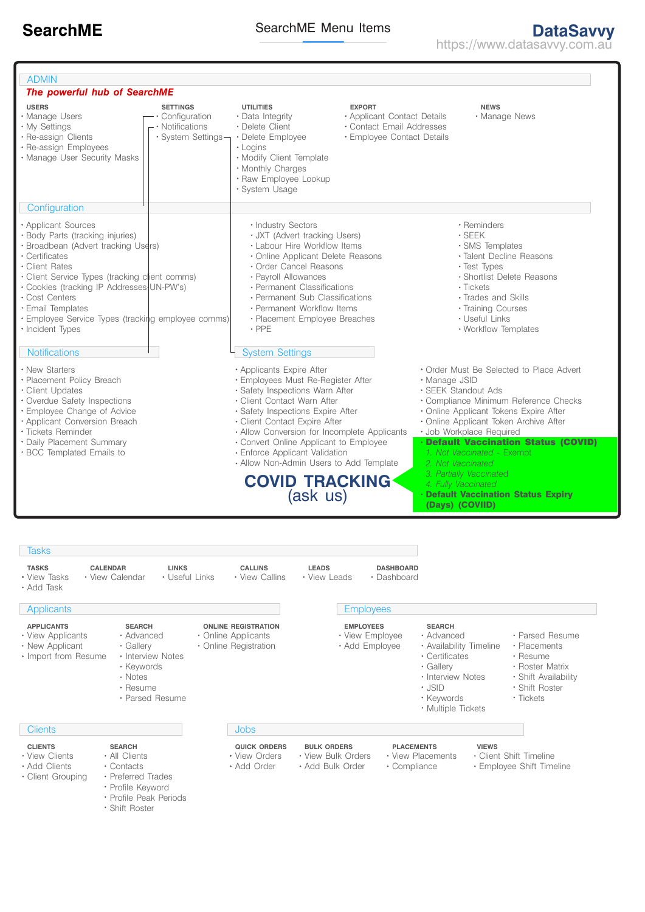https://www.datasavvy.com.au

| <b>ADMIN</b>                                                                                                                                                                                                                                                                                                                                       |                                                                             |                                                                                                                                                                                                                                                                                                                                                                                |                                                                                                                |                                                                                                                                                                                                                                                                                                                                      |  |
|----------------------------------------------------------------------------------------------------------------------------------------------------------------------------------------------------------------------------------------------------------------------------------------------------------------------------------------------------|-----------------------------------------------------------------------------|--------------------------------------------------------------------------------------------------------------------------------------------------------------------------------------------------------------------------------------------------------------------------------------------------------------------------------------------------------------------------------|----------------------------------------------------------------------------------------------------------------|--------------------------------------------------------------------------------------------------------------------------------------------------------------------------------------------------------------------------------------------------------------------------------------------------------------------------------------|--|
| The powerful hub of SearchME                                                                                                                                                                                                                                                                                                                       |                                                                             |                                                                                                                                                                                                                                                                                                                                                                                |                                                                                                                |                                                                                                                                                                                                                                                                                                                                      |  |
| <b>USERS</b><br>· Manage Users<br>• My Settings<br>· Re-assign Clients<br>· Re-assign Employees<br>· Manage User Security Masks                                                                                                                                                                                                                    | <b>SETTINGS</b><br>• Configuration<br>• Notifications<br>• System Settings- | <b>UTILITIES</b><br>• Data Integrity<br>• Delete Client<br>• Delete Employee<br>• Logins<br>. Modify Client Template<br>• Monthly Charges<br>· Raw Employee Lookup<br>· System Usage                                                                                                                                                                                           | <b>EXPORT</b><br>• Applicant Contact Details<br>• Contact Email Addresses<br><b>· Employee Contact Details</b> | <b>NEWS</b><br>· Manage News                                                                                                                                                                                                                                                                                                         |  |
| Configuration                                                                                                                                                                                                                                                                                                                                      |                                                                             |                                                                                                                                                                                                                                                                                                                                                                                |                                                                                                                |                                                                                                                                                                                                                                                                                                                                      |  |
| • Applicant Sources<br>· Body Parts (tracking injuries)<br>· Broadbean (Advert tracking Users)<br>• Certificates<br>• Client Rates<br>· Client Service Types (tracking client comms)<br>· Cookies (tracking IP Addresses-UN-PW's)<br>• Cost Centers<br>· Email Templates<br>• Employee Service Types (tracking employee comms)<br>• Incident Types |                                                                             | · Industry Sectors<br>· JXT (Advert tracking Users)<br>• Labour Hire Workflow Items<br>• Online Applicant Delete Reasons<br>• Order Cancel Reasons<br>· Payroll Allowances<br>• Permanent Classifications<br>• Permanent Sub Classifications<br>• Permanent Workflow Items<br>• Placement Employee Breaches<br>$\cdot$ PPE                                                     |                                                                                                                | • Reminders<br>$\cdot$ SEEK<br>· SMS Templates<br>· Talent Decline Reasons<br>• Test Types<br>· Shortlist Delete Reasons<br>• Tickets<br>· Trades and Skills<br>· Training Courses<br>• Useful Links<br>• Workflow Templates                                                                                                         |  |
| <b>Notifications</b>                                                                                                                                                                                                                                                                                                                               |                                                                             | <b>System Settings</b>                                                                                                                                                                                                                                                                                                                                                         |                                                                                                                |                                                                                                                                                                                                                                                                                                                                      |  |
| • New Starters<br>· Placement Policy Breach<br>• Client Updates<br>• Overdue Safety Inspections<br>· Employee Change of Advice<br>· Applicant Conversion Breach<br><b>* Tickets Reminder</b><br>• Daily Placement Summary<br>· BCC Templated Emails to                                                                                             |                                                                             | • Applicants Expire After<br>· Employees Must Re-Register After<br>· Safety Inspections Warn After<br>· Client Contact Warn After<br>· Safety Inspections Expire After<br>• Client Contact Expire After<br>• Allow Conversion for Incomplete Applicants<br>• Convert Online Applicant to Employee<br>· Enforce Applicant Validation<br>• Allow Non-Admin Users to Add Template |                                                                                                                | • Order Must Be Selected to Place Advert<br>· Manage JSID<br>· SEEK Standout Ads<br>· Compliance Minimum Reference Checks<br>· Online Applicant Tokens Expire After<br>· Online Applicant Token Archive After<br>· Job Workplace Required<br>· Default Vaccination Status (COVID)<br>1. Not Vaccinated - Exempt<br>2. Not Vaccinated |  |
|                                                                                                                                                                                                                                                                                                                                                    |                                                                             | <b>COVID TRACKING</b><br>(ask us)                                                                                                                                                                                                                                                                                                                                              |                                                                                                                | 3. Partially Vaccinated<br>4. Fully Vaccinated<br><b>Default Vaccination Status Expiry</b><br>(Days) (COVIID)                                                                                                                                                                                                                        |  |

- **APPLICANTS**
- View Applicants
- . New Applicant
- · Import from Resume
- Advanced Gallery • Interview Notes
- Keywords

**SEARCH**

- Notes
- Resume
- Parsed Resume
- **Clients**
- **CLIENTS**
- View Clients
- Add Clients
- Client Grouping
- Contacts Preferred Trades

All Clients

**SEARCH**

- Profile Keyword
- Profile Peak Periods
- 
- Shift Roster

**Jobs** 

• Online Applicants **Children** Registration **ONLINE REGISTRATION**

- 
- **QUICK ORDERS**
- View Orders
- Add Order
- View Bulk Orders Add Bulk Order View Placements Compliance

• View Employee Add Employee **EMPLOYEES**

- 
- Client Shift Timeline
- Employee Shift Timeline
- Resume Roster Matrix
	- Shift Availability

Parsed Resume Placements

- Shift Roster
- 
- -
- 
- Tickets
- Interview Notes JSID

Advanced Availability Timeline Certificates Gallery

**SEARCH**

- - -
- Keywords Multiple Tickets
	-
- **BULK ORDERS PLACEMENTS VIEWS**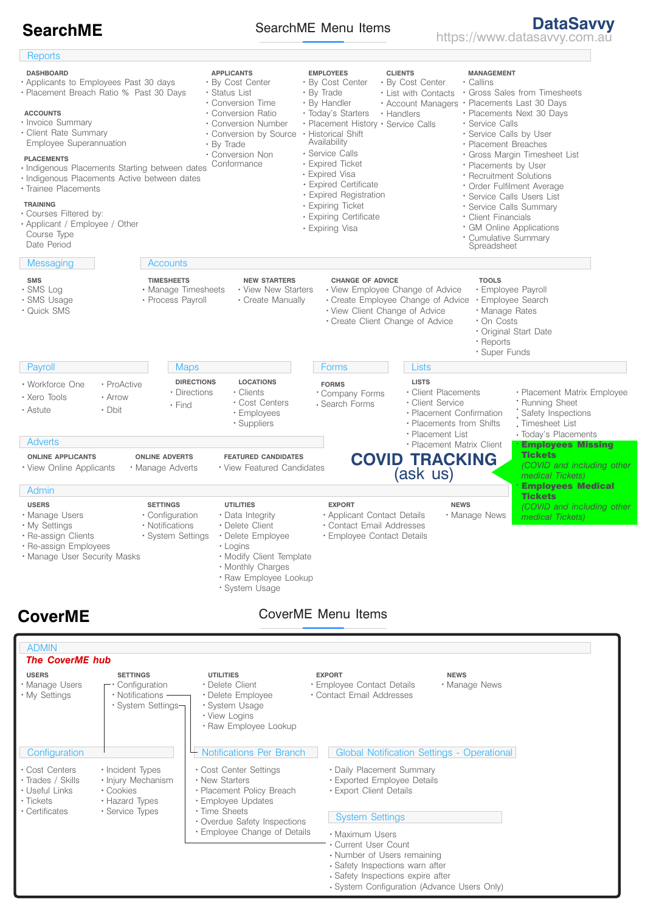## SearchME Menu Items

By Cost Center Status List Conversion Time Conversion Ratio Conversion Number Conversion by Source By Trade Conversion Non **Conformance** Callins List with Contacts . Gross Sales from Timesheets Account Managers • Placements Last 30 Days · Placements Next 30 Days Service Calls Service Calls by User • Placement Breaches Gross Margin Timesheet List Placements by User Recruitment Solutions Order Fulfilment Average Service Calls Users List Service Calls Summary Client Financials GM Online Applications Cumulative Summary By Cost Center Today's Starters • Handlers Placement History · Service Calls **Reports APPLICANTS EMPLOYEES CLIENTS MANAGEMENT ACCOUNTS** Invoice Summary Client Rate Summary Employee Superannuation By Cost Center By Trade By Handler Historical Shift Service Calls Expired Ticket Expired Certificate Expired Registration **Availability** Spreadsheet **PLACEMENTS** . Indigenous Placements Starting between dates · Indigenous Placements Active between dates Trainee Placements **TRAINING** Courses Filtered by: Applicant / Employee / Other Course Type Date Period Applicants to Employees Past 30 days Placement Breach Ratio % Past 30 Days **DASHBOARD Messaging** SMS Log SMS Usage Quick SMS **SMS Accounts** Manage Timesheets • Process Payroll **TIMESHEETS** View New Starters Create Manually **NEW STARTERS CHANGE OF ADVICE TOOLS** View Employee Change of Advice Create Employee Change of Advice View Client Change of Advice Create Client Change of Advice Employee Payroll Employee Search Manage Rates On Costs Original Start Date Reports Super Funds Clients Cost Centers Employees Suppliers **Payroll** Xero Tools Workforce One Astute ProActive  $\triangle$ rrow • Dhit **Maps** Find • Directions **DIRECTIONS LOCATIONS** Forms Company Forms Search Forms **FORMS** Client Placements Client Service Placement Confirmation Placements from Shifts Placement List Placement Matrix Client **Lists LISTS** • Placement Matrix Employee Running Sheet Safety Inspections Timesheet List Today's Placements Employees Missing **Tickets** *(COVID and including other medical Tickets)* Employees Medical **Tickets** *(COVID and including other medical Tickets)* View Online Applicants **Adverts ONLINE APPLICANTS** Manage Adverts **ONLINE ADVERTS** View Featured Candidates **FEATURED CANDIDATES Admin** Manage Users My Settings **· Re-assign Clients** Re-assign Employees Manage User Security Masks **USERS** Configuration Notifications System Settings **SETTINGS** · Data Integrity Delete Client Delete Employee Logins Modify Client Template Monthly Charges · Raw Employee Lookup System Usage **UTILITIES** Applicant Contact Details Contact Email Addresses Employee Contact Details **EXPORT** Manage News **NEWS** CoverME Menu Items ADMIN Manage Users My Settings **USERS** *The CoverME hub* **Configuration** Cost Centers • Trades / Skills Useful Links Tickets Certificates Configuration • Notifications -System Settings **SETTINGS** Delete Client Delete Employee System Usage View Logins . Raw Employee Lookup **UTILITIES** Employee Contact Details Contact Email Addresses **EXPORT** • Manage News **NEWS** • Incident Types • Injury Mechanism Cookies Hazard Types Service Types Notifications Per Branch Cost Center Settings New Starters Placement Policy Breach Employee Updates Time Sheets Overdue Safety Inspections Global Notification Settings - Operational Daily Placement Summary Exported Employee Details Export Client Details System Settings **SearchME SearchME Menu Items DataSavvy DataSavvy SearchME SearchME Menu Items https://www.datasavvy.com.au CoverME** Expired Visa Expiring Ticket Expiring Certificate Expiring Visa **COVID TRACKING** (ask us)

- Employee Change of Details
	- Maximum I Isers Current User Count
		- Number of Users remaining
		- Safety Inspections warn after
		- Safety Inspections expire after
		-
		- System Configuration (Advance Users Only)